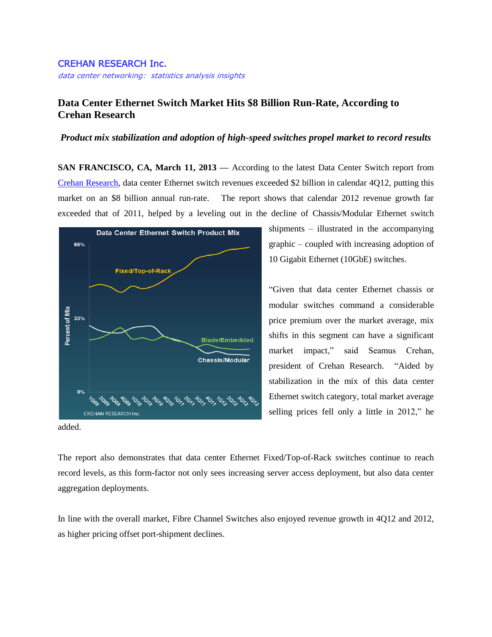## CREHAN RESEARCH Inc.

data center networking: statistics analysis insights

## **Data Center Ethernet Switch Market Hits \$8 Billion Run-Rate, According to Crehan Research**

## *Product mix stabilization and adoption of high-speed switches propel market to record results*

**SAN FRANCISCO, CA, March 11, 2013 —** According to the latest Data Center Switch report from [Crehan Research,](http://www.crehanresearch.com/) data center Ethernet switch revenues exceeded \$2 billion in calendar 4Q12, putting this market on an \$8 billion annual run-rate. The report shows that calendar 2012 revenue growth far exceeded that of 2011, helped by a leveling out in the decline of Chassis/Modular Ethernet switch



shipments – illustrated in the accompanying graphic – coupled with increasing adoption of 10 Gigabit Ethernet (10GbE) switches.

"Given that data center Ethernet chassis or modular switches command a considerable price premium over the market average, mix shifts in this segment can have a significant market impact," said Seamus Crehan, president of Crehan Research. "Aided by stabilization in the mix of this data center Ethernet switch category, total market average selling prices fell only a little in 2012," he

added.

The report also demonstrates that data center Ethernet Fixed/Top-of-Rack switches continue to reach record levels, as this form-factor not only sees increasing server access deployment, but also data center aggregation deployments.

In line with the overall market, Fibre Channel Switches also enjoyed revenue growth in 4Q12 and 2012, as higher pricing offset port-shipment declines.